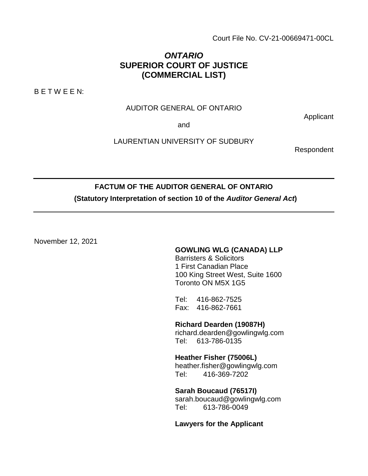Court File No. CV-21-00669471-00CL

## *ONTARIO*  **SUPERIOR COURT OF JUSTICE (COMMERCIAL LIST)**

B E T W E E N:

#### AUDITOR GENERAL OF ONTARIO

and

LAURENTIAN UNIVERSITY OF SUDBURY

Respondent

Applicant

# **FACTUM OF THE AUDITOR GENERAL OF ONTARIO (Statutory Interpretation of section 10 of the** *Auditor General Act***)**

November 12, 2021

#### **GOWLING WLG (CANADA) LLP**

Barristers & Solicitors 1 First Canadian Place 100 King Street West, Suite 1600 Toronto ON M5X 1G5

Tel: 416-862-7525 Fax: 416-862-7661

**Richard Dearden (19087H)**  richard.dearden@gowlingwlg.com Tel: 613-786-0135

**Heather Fisher (75006L)** heather.fisher@gowlingwlg.com Tel: 416-369-7202

**Sarah Boucaud (76517I)** sarah.boucaud@gowlingwlg.com Tel: 613-786-0049

**Lawyers for the Applicant**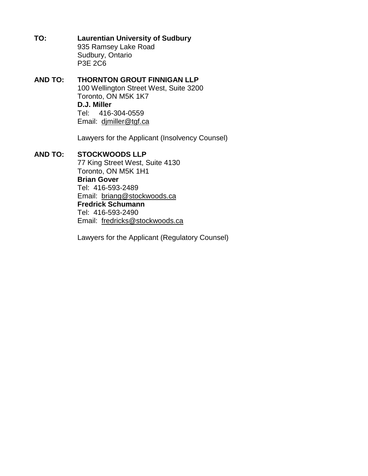**TO: Laurentian University of Sudbury**  935 Ramsey Lake Road Sudbury, Ontario P3E 2C6

#### **AND TO: THORNTON GROUT FINNIGAN LLP**  100 Wellington Street West, Suite 3200 Toronto, ON M5K 1K7 **D.J. Miller**  Tel: 416-304-0559 Email: djmiller@tgf.ca

Lawyers for the Applicant (Insolvency Counsel)

#### **AND TO: STOCKWOODS LLP**

77 King Street West, Suite 4130 Toronto, ON M5K 1H1 **Brian Gover**  Tel: 416-593-2489 Email: briang@stockwoods.ca **Fredrick Schumann**  Tel: 416-593-2490 Email: fredricks@stockwoods.ca

Lawyers for the Applicant (Regulatory Counsel)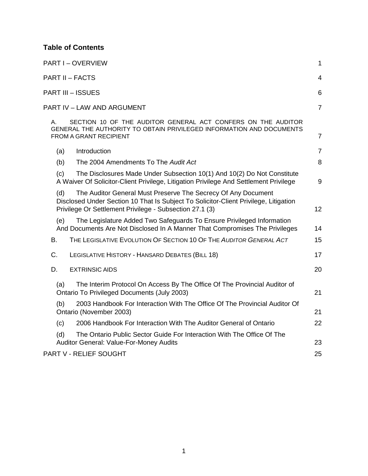## **Table of Contents**

| <b>PART I-OVERVIEW</b>                                                                                                                                                                                                  | 1              |
|-------------------------------------------------------------------------------------------------------------------------------------------------------------------------------------------------------------------------|----------------|
| <b>PART II - FACTS</b>                                                                                                                                                                                                  | 4              |
| <b>PART III - ISSUES</b>                                                                                                                                                                                                | 6              |
| PART IV - LAW AND ARGUMENT                                                                                                                                                                                              | $\overline{7}$ |
| SECTION 10 OF THE AUDITOR GENERAL ACT CONFERS ON THE AUDITOR<br>А.<br>GENERAL THE AUTHORITY TO OBTAIN PRIVILEGED INFORMATION AND DOCUMENTS<br>FROM A GRANT RECIPIENT                                                    | $\overline{7}$ |
| Introduction<br>(a)                                                                                                                                                                                                     | $\overline{7}$ |
| (b)<br>The 2004 Amendments To The Audit Act                                                                                                                                                                             | 8              |
| (c)<br>The Disclosures Made Under Subsection 10(1) And 10(2) Do Not Constitute<br>A Waiver Of Solicitor-Client Privilege, Litigation Privilege And Settlement Privilege                                                 | 9              |
| The Auditor General Must Preserve The Secrecy Of Any Document<br>(d)<br>Disclosed Under Section 10 That Is Subject To Solicitor-Client Privilege, Litigation<br>Privilege Or Settlement Privilege - Subsection 27.1 (3) | 12             |
| The Legislature Added Two Safeguards To Ensure Privileged Information<br>(e)<br>And Documents Are Not Disclosed In A Manner That Compromises The Privileges                                                             | 14             |
| THE LEGISLATIVE EVOLUTION OF SECTION 10 OF THE AUDITOR GENERAL ACT<br>В.                                                                                                                                                | 15             |
| C.<br>LEGISLATIVE HISTORY - HANSARD DEBATES (BILL 18)                                                                                                                                                                   | 17             |
| D.<br><b>EXTRINSIC AIDS</b>                                                                                                                                                                                             | 20             |
| The Interim Protocol On Access By The Office Of The Provincial Auditor of<br>(a)<br>Ontario To Privileged Documents (July 2003)                                                                                         | 21             |
| 2003 Handbook For Interaction With The Office Of The Provincial Auditor Of<br>(b)<br>Ontario (November 2003)                                                                                                            | 21             |
| 2006 Handbook For Interaction With The Auditor General of Ontario<br>(c)                                                                                                                                                | 22             |
| The Ontario Public Sector Guide For Interaction With The Office Of The<br>(d)<br>Auditor General: Value-For-Money Audits                                                                                                | 23             |
| PART V - RELIEF SOUGHT                                                                                                                                                                                                  | 25             |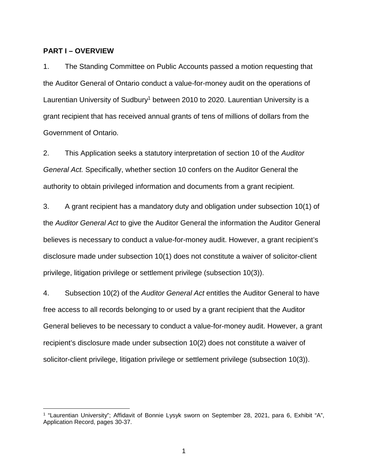#### **PART I – OVERVIEW**

1. The Standing Committee on Public Accounts passed a motion requesting that the Auditor General of Ontario conduct a value-for-money audit on the operations of Laurentian University of Sudbury<sup>1</sup> between 2010 to 2020. Laurentian University is a grant recipient that has received annual grants of tens of millions of dollars from the Government of Ontario.

2. This Application seeks a statutory interpretation of section 10 of the *Auditor General Act.* Specifically, whether section 10 confers on the Auditor General the authority to obtain privileged information and documents from a grant recipient.

3. A grant recipient has a mandatory duty and obligation under subsection 10(1) of the *Auditor General Act* to give the Auditor General the information the Auditor General believes is necessary to conduct a value-for-money audit. However, a grant recipient's disclosure made under subsection 10(1) does not constitute a waiver of solicitor-client privilege, litigation privilege or settlement privilege (subsection 10(3)).

4. Subsection 10(2) of the *Auditor General Act* entitles the Auditor General to have free access to all records belonging to or used by a grant recipient that the Auditor General believes to be necessary to conduct a value-for-money audit. However, a grant recipient's disclosure made under subsection 10(2) does not constitute a waiver of solicitor-client privilege, litigation privilege or settlement privilege (subsection 10(3)).

<sup>&</sup>lt;sup>1</sup> "Laurentian University"; Affidavit of Bonnie Lysyk sworn on September 28, 2021, para 6, Exhibit "A", Application Record, pages 30-37.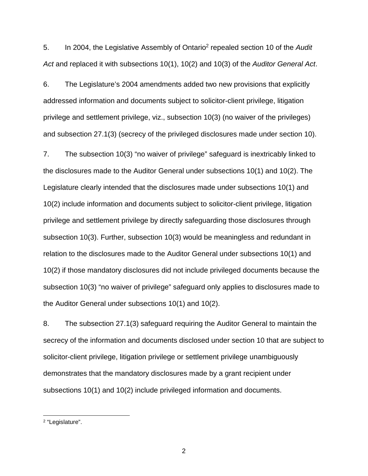5. In 2004, the Legislative Assembly of Ontario<sup>2</sup> repealed section 10 of the Audit *Act* and replaced it with subsections 10(1), 10(2) and 10(3) of the *Auditor General Act*.

6. The Legislature's 2004 amendments added two new provisions that explicitly addressed information and documents subject to solicitor-client privilege, litigation privilege and settlement privilege, viz., subsection 10(3) (no waiver of the privileges) and subsection 27.1(3) (secrecy of the privileged disclosures made under section 10).

7. The subsection 10(3) "no waiver of privilege" safeguard is inextricably linked to the disclosures made to the Auditor General under subsections 10(1) and 10(2). The Legislature clearly intended that the disclosures made under subsections 10(1) and 10(2) include information and documents subject to solicitor-client privilege, litigation privilege and settlement privilege by directly safeguarding those disclosures through subsection 10(3). Further, subsection 10(3) would be meaningless and redundant in relation to the disclosures made to the Auditor General under subsections 10(1) and 10(2) if those mandatory disclosures did not include privileged documents because the subsection 10(3) "no waiver of privilege" safeguard only applies to disclosures made to the Auditor General under subsections 10(1) and 10(2).

8. The subsection 27.1(3) safeguard requiring the Auditor General to maintain the secrecy of the information and documents disclosed under section 10 that are subject to solicitor-client privilege, litigation privilege or settlement privilege unambiguously demonstrates that the mandatory disclosures made by a grant recipient under subsections 10(1) and 10(2) include privileged information and documents.

2

<sup>&</sup>lt;sup>2</sup> "Legislature".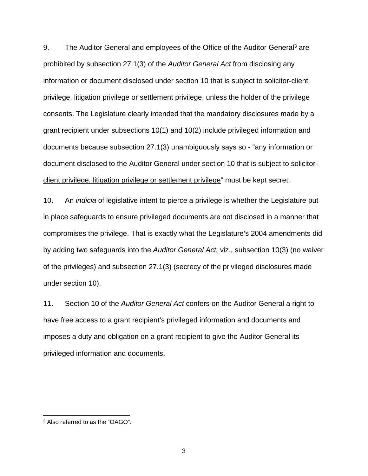9. The Auditor General and employees of the Office of the Auditor General<sup>3</sup> are prohibited by subsection 27.1(3) of the *Auditor General Act* from disclosing any information or document disclosed under section 10 that is subject to solicitor-client privilege, litigation privilege or settlement privilege, unless the holder of the privilege consents. The Legislature clearly intended that the mandatory disclosures made by a grant recipient under subsections 10(1) and 10(2) include privileged information and documents because subsection 27.1(3) unambiguously says so - "any information or document disclosed to the Auditor General under section 10 that is subject to solicitorclient privilege, litigation privilege or settlement privilege" must be kept secret.

10. An *indicia* of legislative intent to pierce a privilege is whether the Legislature put in place safeguards to ensure privileged documents are not disclosed in a manner that compromises the privilege. That is exactly what the Legislature's 2004 amendments did by adding two safeguards into the *Auditor General Act,* viz., subsection 10(3) (no waiver of the privileges) and subsection 27.1(3) (secrecy of the privileged disclosures made under section 10).

11. Section 10 of the *Auditor General Act* confers on the Auditor General a right to have free access to a grant recipient's privileged information and documents and imposes a duty and obligation on a grant recipient to give the Auditor General its privileged information and documents.

<sup>3</sup> Also referred to as the "OAGO".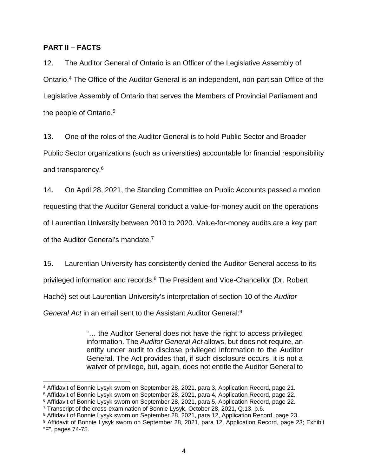#### **PART II – FACTS**

12. The Auditor General of Ontario is an Officer of the Legislative Assembly of Ontario.<sup>4</sup> The Office of the Auditor General is an independent, non-partisan Office of the Legislative Assembly of Ontario that serves the Members of Provincial Parliament and the people of Ontario.<sup>5</sup>

13. One of the roles of the Auditor General is to hold Public Sector and Broader Public Sector organizations (such as universities) accountable for financial responsibility and transparency.<sup>6</sup>

14. On April 28, 2021, the Standing Committee on Public Accounts passed a motion

requesting that the Auditor General conduct a value-for-money audit on the operations

of Laurentian University between 2010 to 2020. Value-for-money audits are a key part

of the Auditor General's mandate.<sup>7</sup>

15. Laurentian University has consistently denied the Auditor General access to its privileged information and records.<sup>8</sup> The President and Vice-Chancellor (Dr. Robert Haché) set out Laurentian University's interpretation of section 10 of the *Auditor General Act* in an email sent to the Assistant Auditor General:<sup>9</sup>

> "… the Auditor General does not have the right to access privileged information. The *Auditor General Act* allows, but does not require, an entity under audit to disclose privileged information to the Auditor General. The Act provides that, if such disclosure occurs, it is not a waiver of privilege, but, again, does not entitle the Auditor General to

<sup>4</sup> Affidavit of Bonnie Lysyk sworn on September 28, 2021, para 3, Application Record, page 21.

<sup>5</sup> Affidavit of Bonnie Lysyk sworn on September 28, 2021, para 4, Application Record, page 22.

<sup>6</sup> Affidavit of Bonnie Lysyk sworn on September 28, 2021, para 5, Application Record, page 22.

<sup>7</sup> Transcript of the cross-examination of Bonnie Lysyk, October 28, 2021, Q.13, p.6.

<sup>&</sup>lt;sup>8</sup> Affidavit of Bonnie Lysyk sworn on September 28, 2021, para 12, Application Record, page 23.

<sup>9</sup> Affidavit of Bonnie Lysyk sworn on September 28, 2021, para 12, Application Record, page 23; Exhibit "F", pages 74-75.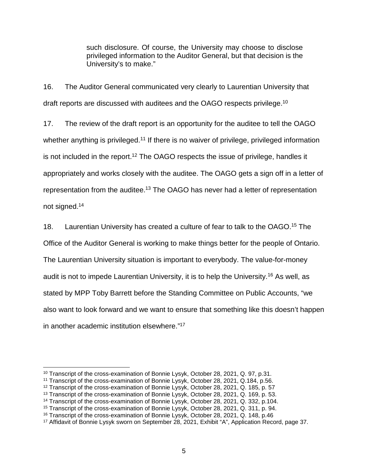such disclosure. Of course, the University may choose to disclose privileged information to the Auditor General, but that decision is the University's to make."

16. The Auditor General communicated very clearly to Laurentian University that draft reports are discussed with auditees and the OAGO respects privilege.<sup>10</sup>

17. The review of the draft report is an opportunity for the auditee to tell the OAGO whether anything is privileged.<sup>11</sup> If there is no waiver of privilege, privileged information is not included in the report.<sup>12</sup> The OAGO respects the issue of privilege, handles it appropriately and works closely with the auditee. The OAGO gets a sign off in a letter of representation from the auditee.<sup>13</sup> The OAGO has never had a letter of representation not signed.<sup>14</sup>

18. Laurentian University has created a culture of fear to talk to the OAGO.<sup>15</sup> The Office of the Auditor General is working to make things better for the people of Ontario. The Laurentian University situation is important to everybody. The value-for-money audit is not to impede Laurentian University, it is to help the University.<sup>16</sup> As well, as stated by MPP Toby Barrett before the Standing Committee on Public Accounts, "we also want to look forward and we want to ensure that something like this doesn't happen in another academic institution elsewhere."<sup>17</sup>

<sup>&</sup>lt;sup>10</sup> Transcript of the cross-examination of Bonnie Lysyk, October 28, 2021, Q. 97, p.31.

<sup>11</sup> Transcript of the cross-examination of Bonnie Lysyk, October 28, 2021, Q.184, p.56.

<sup>12</sup> Transcript of the cross-examination of Bonnie Lysyk, October 28, 2021, Q. 185, p. 57

<sup>13</sup> Transcript of the cross-examination of Bonnie Lysyk, October 28, 2021, Q. 169, p. 53.

<sup>&</sup>lt;sup>14</sup> Transcript of the cross-examination of Bonnie Lysyk, October 28, 2021, Q. 332, p.104.

<sup>15</sup> Transcript of the cross-examination of Bonnie Lysyk, October 28, 2021, Q. 311, p. 94.

<sup>16</sup> Transcript of the cross-examination of Bonnie Lysyk, October 28, 2021, Q. 148, p.46

<sup>17</sup> Affidavit of Bonnie Lysyk sworn on September 28, 2021, Exhibit "A", Application Record, page 37.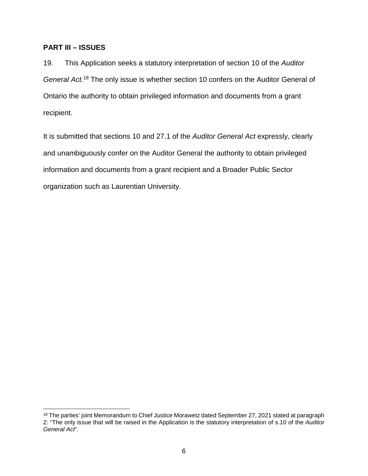#### **PART III – ISSUES**

 $\overline{a}$ 

19. This Application seeks a statutory interpretation of section 10 of the *Auditor General Act.*<sup>18</sup> The only issue is whether section 10 confers on the Auditor General of Ontario the authority to obtain privileged information and documents from a grant recipient.

It is submitted that sections 10 and 27.1 of the *Auditor General Act* expressly, clearly and unambiguously confer on the Auditor General the authority to obtain privileged information and documents from a grant recipient and a Broader Public Sector organization such as Laurentian University.

<sup>&</sup>lt;sup>18</sup> The parties' joint Memorandum to Chief Justice Morawetz dated September 27, 2021 stated at paragraph 2: "The only issue that will be raised in the Application is the statutory interpretation of s.10 of the *Auditor General Act*".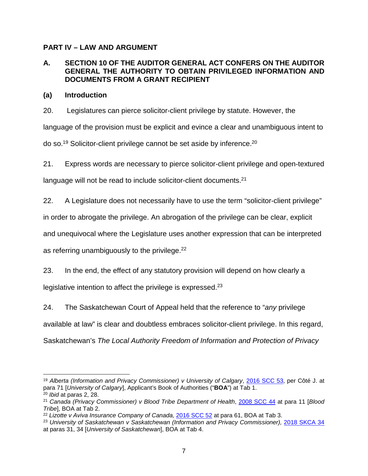## **PART IV – LAW AND ARGUMENT**

### **A. SECTION 10 OF THE AUDITOR GENERAL ACT CONFERS ON THE AUDITOR GENERAL THE AUTHORITY TO OBTAIN PRIVILEGED INFORMATION AND DOCUMENTS FROM A GRANT RECIPIENT**

#### **(a) Introduction**

20. Legislatures can pierce solicitor-client privilege by statute. However, the language of the provision must be explicit and evince a clear and unambiguous intent to do so.<sup>19</sup> Solicitor-client privilege cannot be set aside by inference.<sup>20</sup>

21. Express words are necessary to pierce solicitor-client privilege and open-textured

language will not be read to include solicitor-client documents.<sup>21</sup>

22. A Legislature does not necessarily have to use the term "solicitor-client privilege"

in order to abrogate the privilege. An abrogation of the privilege can be clear, explicit

and unequivocal where the Legislature uses another expression that can be interpreted

as referring unambiguously to the privilege. $22$ 

23. In the end, the effect of any statutory provision will depend on how clearly a legislative intention to affect the privilege is expressed.<sup>23</sup>

24. The Saskatchewan Court of Appeal held that the reference to "*any* privilege available at law" is clear and doubtless embraces solicitor-client privilege. In this regard, Saskatchewan's *The Local Authority Freedom of Information and Protection of Privacy* 

<sup>19</sup> *Alberta (Information and Privacy Commissioner) v University of Calgary*, [2016 SCC 53,](https://canlii.ca/t/gvskr) per Côté J. at para 71 [*University of Calgary*], Applicant's Book of Authorities ("**BOA**") at Tab 1. <sup>20</sup> *Ibid* at paras 2, 28.

<sup>21</sup> *Canada (Privacy Commissioner) v Blood Tribe Department of Health*, [2008 SCC 44](https://canlii.ca/t/1zhmr) at para 11 [*Blood Tribe*], BOA at Tab 2.

<sup>22</sup> *Lizotte v Aviva Insurance Company of Canada,* [2016 SCC 52 a](https://canlii.ca/t/gvskp)t para 61, BOA at Tab 3.

<sup>&</sup>lt;sup>23</sup> University of Saskatchewan v Saskatchewan (Information and Privacy Commissioner), [2018 SKCA 34](https://canlii.ca/t/hs46n) at paras 31, 34 [*University of Saskatchewan*], BOA at Tab 4.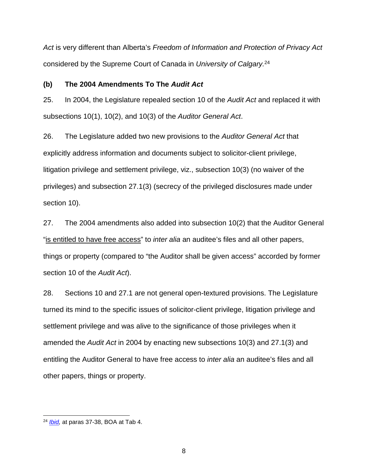*Act* is very different than Alberta's *Freedom of Information and Protection of Privacy Act* considered by the Supreme Court of Canada in *University of Calgary.*<sup>24</sup>

#### **(b) The 2004 Amendments To The** *Audit Act*

25. In 2004, the Legislature repealed section 10 of the *Audit Act* and replaced it with subsections 10(1), 10(2), and 10(3) of the *Auditor General Act*.

26. The Legislature added two new provisions to the *Auditor General Act* that explicitly address information and documents subject to solicitor-client privilege, litigation privilege and settlement privilege, viz., subsection 10(3) (no waiver of the privileges) and subsection 27.1(3) (secrecy of the privileged disclosures made under section 10).

27. The 2004 amendments also added into subsection 10(2) that the Auditor General "is entitled to have free access" to *inter alia* an auditee's files and all other papers, things or property (compared to "the Auditor shall be given access" accorded by former section 10 of the *Audit Act*).

28. Sections 10 and 27.1 are not general open-textured provisions. The Legislature turned its mind to the specific issues of solicitor-client privilege, litigation privilege and settlement privilege and was alive to the significance of those privileges when it amended the *Audit Act* in 2004 by enacting new subsections 10(3) and 27.1(3) and entitling the Auditor General to have free access to *inter alia* an auditee's files and all other papers, things or property.

<sup>24</sup> *[Ibid,](https://canlii.ca/t/hs46n)* at paras 37-38, BOA at Tab 4.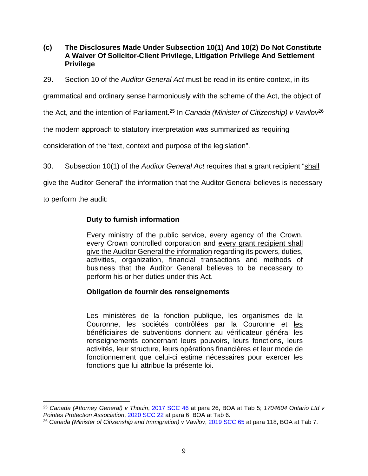**(c) The Disclosures Made Under Subsection 10(1) And 10(2) Do Not Constitute A Waiver Of Solicitor-Client Privilege, Litigation Privilege And Settlement Privilege**

29. Section 10 of the *Auditor General Act* must be read in its entire context, in its

grammatical and ordinary sense harmoniously with the scheme of the Act, the object of

the Act, and the intention of Parliament.<sup>25</sup> In *Canada (Minister of Citizenship) v Vavilov*<sup>26</sup>

the modern approach to statutory interpretation was summarized as requiring

consideration of the "text, context and purpose of the legislation".

30. Subsection 10(1) of the *Auditor General Act* requires that a grant recipient "shall

give the Auditor General" the information that the Auditor General believes is necessary

to perform the audit:

## **Duty to furnish information**

Every ministry of the public service, every agency of the Crown, every Crown controlled corporation and every grant recipient shall give the Auditor General the information regarding its powers, duties, activities, organization, financial transactions and methods of business that the Auditor General believes to be necessary to perform his or her duties under this Act.

## **Obligation de fournir des renseignements**

Les ministères de la fonction publique, les organismes de la Couronne, les sociétés contrôlées par la Couronne et les bénéficiaires de subventions donnent au vérificateur général les renseignements concernant leurs pouvoirs, leurs fonctions, leurs activités, leur structure, leurs opérations financières et leur mode de fonctionnement que celui-ci estime nécessaires pour exercer les fonctions que lui attribue la présente loi.

 $\overline{a}$ <sup>25</sup> *Canada (Attorney General) v Thouin*, [2017 SCC 46](https://canlii.ca/t/h6cf9) at para 26, BOA at Tab 5; *1704604 Ontario Ltd v Pointes Protection Association*, [2020 SCC 22](https://canlii.ca/t/j9kjz) at para 6, BOA at Tab 6.

<sup>26</sup> *Canada (Minister of Citizenship and Immigration) v Vavilov*, [2019 SCC 65](https://canlii.ca/t/j46kb) at para 118, BOA at Tab 7.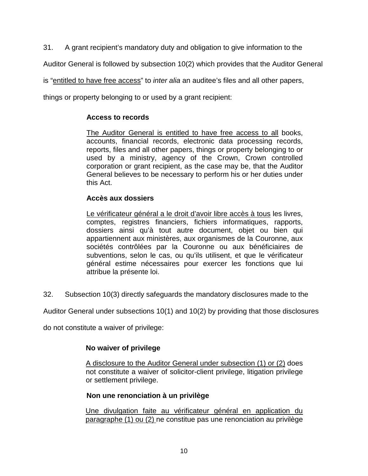31. A grant recipient's mandatory duty and obligation to give information to the

Auditor General is followed by subsection 10(2) which provides that the Auditor General

is "entitled to have free access" to *inter alia* an auditee's files and all other papers,

things or property belonging to or used by a grant recipient:

## **Access to records**

The Auditor General is entitled to have free access to all books, accounts, financial records, electronic data processing records, reports, files and all other papers, things or property belonging to or used by a ministry, agency of the Crown, Crown controlled corporation or grant recipient, as the case may be, that the Auditor General believes to be necessary to perform his or her duties under this Act.

## **Accès aux dossiers**

Le vérificateur général a le droit d'avoir libre accès à tous les livres, comptes, registres financiers, fichiers informatiques, rapports, dossiers ainsi qu'à tout autre document, objet ou bien qui appartiennent aux ministères, aux organismes de la Couronne, aux sociétés contrôlées par la Couronne ou aux bénéficiaires de subventions, selon le cas, ou qu'ils utilisent, et que le vérificateur général estime nécessaires pour exercer les fonctions que lui attribue la présente loi.

32. Subsection 10(3) directly safeguards the mandatory disclosures made to the

Auditor General under subsections 10(1) and 10(2) by providing that those disclosures

do not constitute a waiver of privilege:

## **No waiver of privilege**

A disclosure to the Auditor General under subsection (1) or (2) does not constitute a waiver of solicitor-client privilege, litigation privilege or settlement privilege.

## **Non une renonciation à un privilège**

Une divulgation faite au vérificateur général en application du paragraphe (1) ou (2) ne constitue pas une renonciation au privilège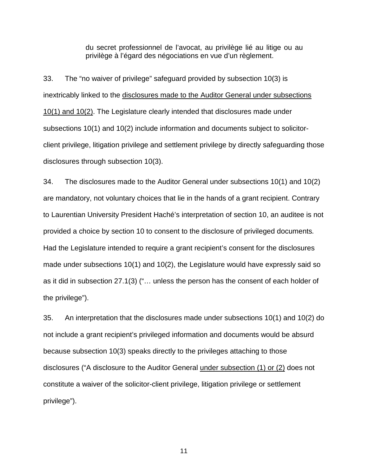du secret professionnel de l'avocat, au privilège lié au litige ou au privilège à l'égard des négociations en vue d'un règlement.

33. The "no waiver of privilege" safeguard provided by subsection 10(3) is inextricably linked to the disclosures made to the Auditor General under subsections 10(1) and 10(2). The Legislature clearly intended that disclosures made under subsections 10(1) and 10(2) include information and documents subject to solicitorclient privilege, litigation privilege and settlement privilege by directly safeguarding those disclosures through subsection 10(3).

34. The disclosures made to the Auditor General under subsections 10(1) and 10(2) are mandatory, not voluntary choices that lie in the hands of a grant recipient. Contrary to Laurentian University President Haché's interpretation of section 10, an auditee is not provided a choice by section 10 to consent to the disclosure of privileged documents*.*  Had the Legislature intended to require a grant recipient's consent for the disclosures made under subsections 10(1) and 10(2), the Legislature would have expressly said so as it did in subsection 27.1(3) ("… unless the person has the consent of each holder of the privilege").

35. An interpretation that the disclosures made under subsections 10(1) and 10(2) do not include a grant recipient's privileged information and documents would be absurd because subsection 10(3) speaks directly to the privileges attaching to those disclosures ("A disclosure to the Auditor General under subsection (1) or (2) does not constitute a waiver of the solicitor-client privilege, litigation privilege or settlement privilege").

11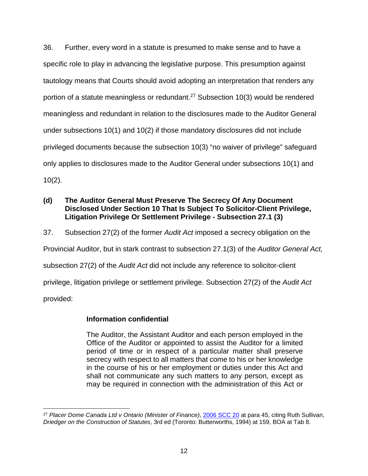36. Further, every word in a statute is presumed to make sense and to have a specific role to play in advancing the legislative purpose. This presumption against tautology means that Courts should avoid adopting an interpretation that renders any portion of a statute meaningless or redundant.<sup>27</sup> Subsection 10(3) would be rendered meaningless and redundant in relation to the disclosures made to the Auditor General under subsections 10(1) and 10(2) if those mandatory disclosures did not include privileged documents because the subsection 10(3) "no waiver of privilege" safeguard only applies to disclosures made to the Auditor General under subsections 10(1) and 10(2).

#### **(d) The Auditor General Must Preserve The Secrecy Of Any Document Disclosed Under Section 10 That Is Subject To Solicitor-Client Privilege, Litigation Privilege Or Settlement Privilege - Subsection 27.1 (3)**

37. Subsection 27(2) of the former *Audit Act* imposed a secrecy obligation on the

Provincial Auditor, but in stark contrast to subsection 27.1(3) of the *Auditor General Act,* 

subsection 27(2) of the *Audit Act* did not include any reference to solicitor-client

privilege, litigation privilege or settlement privilege. Subsection 27(2) of the *Audit Act*

provided:

#### **Information confidential**

The Auditor, the Assistant Auditor and each person employed in the Office of the Auditor or appointed to assist the Auditor for a limited period of time or in respect of a particular matter shall preserve secrecy with respect to all matters that come to his or her knowledge in the course of his or her employment or duties under this Act and shall not communicate any such matters to any person, except as may be required in connection with the administration of this Act or

 <sup>27</sup> *Placer Dome Canada Ltd v Ontario (Minister of Finance)*, [2006 SCC 20](https://canlii.ca/t/1nb6r) at para 45, citing Ruth Sullivan, *Driedger on the Construction of Statutes*, 3rd ed (Toronto: Butterworths, 1994) at 159, BOA at Tab 8.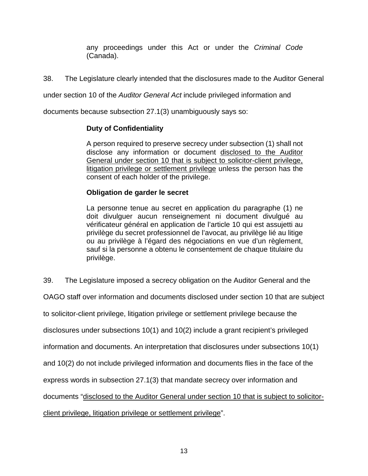any proceedings under this Act or under the *Criminal Code* (Canada).

38. The Legislature clearly intended that the disclosures made to the Auditor General

under section 10 of the *Auditor General Act* include privileged information and

documents because subsection 27.1(3) unambiguously says so:

#### **Duty of Confidentiality**

A person required to preserve secrecy under subsection (1) shall not disclose any information or document disclosed to the Auditor General under section 10 that is subject to solicitor-client privilege, litigation privilege or settlement privilege unless the person has the consent of each holder of the privilege.

#### **Obligation de garder le secret**

La personne tenue au secret en application du paragraphe (1) ne doit divulguer aucun renseignement ni document divulgué au vérificateur général en application de l'article 10 qui est assujetti au privilège du secret professionnel de l'avocat, au privilège lié au litige ou au privilège à l'égard des négociations en vue d'un règlement, sauf si la personne a obtenu le consentement de chaque titulaire du privilège.

39. The Legislature imposed a secrecy obligation on the Auditor General and the

OAGO staff over information and documents disclosed under section 10 that are subject

to solicitor-client privilege, litigation privilege or settlement privilege because the

disclosures under subsections 10(1) and 10(2) include a grant recipient's privileged

information and documents. An interpretation that disclosures under subsections 10(1)

and 10(2) do not include privileged information and documents flies in the face of the

express words in subsection 27.1(3) that mandate secrecy over information and

documents "disclosed to the Auditor General under section 10 that is subject to solicitor-

client privilege, litigation privilege or settlement privilege".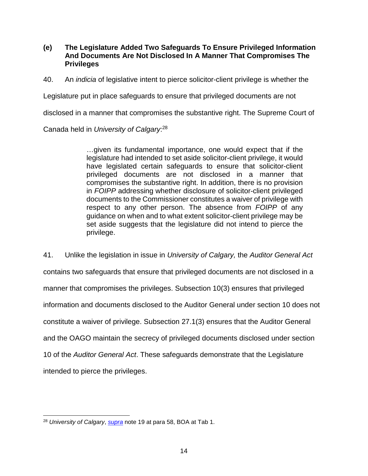**(e) The Legislature Added Two Safeguards To Ensure Privileged Information And Documents Are Not Disclosed In A Manner That Compromises The Privileges** 

40. An *indicia* of legislative intent to pierce solicitor-client privilege is whether the

Legislature put in place safeguards to ensure that privileged documents are not

disclosed in a manner that compromises the substantive right. The Supreme Court of

Canada held in *University of Calgary*: 28

…given its fundamental importance, one would expect that if the legislature had intended to set aside solicitor-client privilege, it would have legislated certain safeguards to ensure that solicitor-client privileged documents are not disclosed in a manner that compromises the substantive right. In addition, there is no provision in *FOIPP* addressing whether disclosure of solicitor-client privileged documents to the Commissioner constitutes a waiver of privilege with respect to any other person. The absence from *FOIPP* of any guidance on when and to what extent solicitor-client privilege may be set aside suggests that the legislature did not intend to pierce the privilege.

41. Unlike the legislation in issue in *University of Calgary,* the *Auditor General Act*  contains two safeguards that ensure that privileged documents are not disclosed in a manner that compromises the privileges. Subsection 10(3) ensures that privileged information and documents disclosed to the Auditor General under section 10 does not constitute a waiver of privilege. Subsection 27.1(3) ensures that the Auditor General and the OAGO maintain the secrecy of privileged documents disclosed under section 10 of the *Auditor General Act*. These safeguards demonstrate that the Legislature intended to pierce the privileges.

 <sup>28</sup> *University of Calgary*, *[supra](https://canlii.ca/t/gvskr)* note 19 at para 58, BOA at Tab 1.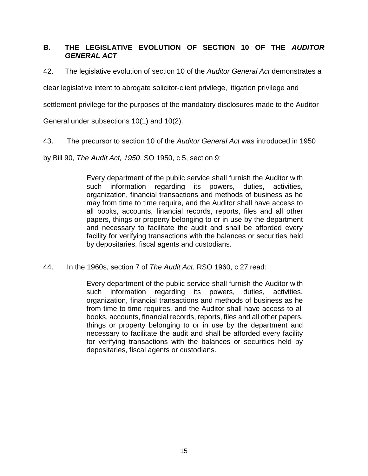## **B. THE LEGISLATIVE EVOLUTION OF SECTION 10 OF THE** *AUDITOR GENERAL ACT*

42. The legislative evolution of section 10 of the *Auditor General Act* demonstrates a

clear legislative intent to abrogate solicitor-client privilege, litigation privilege and

settlement privilege for the purposes of the mandatory disclosures made to the Auditor

General under subsections 10(1) and 10(2).

43. The precursor to section 10 of the *Auditor General Act* was introduced in 1950

by Bill 90, *The Audit Act, 1950*, SO 1950, c 5, section 9:

Every department of the public service shall furnish the Auditor with such information regarding its powers, duties, activities, organization, financial transactions and methods of business as he may from time to time require, and the Auditor shall have access to all books, accounts, financial records, reports, files and all other papers, things or property belonging to or in use by the department and necessary to facilitate the audit and shall be afforded every facility for verifying transactions with the balances or securities held by depositaries, fiscal agents and custodians.

44. In the 1960s, section 7 of *The Audit Act*, RSO 1960, c 27 read:

Every department of the public service shall furnish the Auditor with such information regarding its powers, duties, activities, organization, financial transactions and methods of business as he from time to time requires, and the Auditor shall have access to all books, accounts, financial records, reports, files and all other papers, things or property belonging to or in use by the department and necessary to facilitate the audit and shall be afforded every facility for verifying transactions with the balances or securities held by depositaries, fiscal agents or custodians.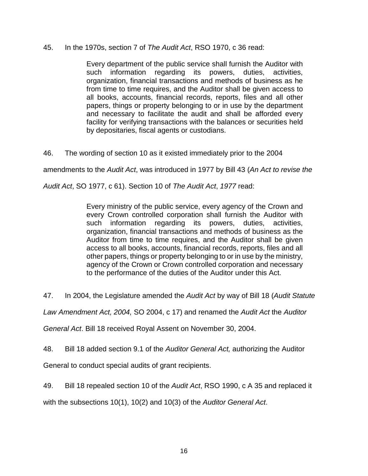#### 45. In the 1970s, section 7 of *The Audit Act*, RSO 1970, c 36 read:

Every department of the public service shall furnish the Auditor with such information regarding its powers, duties, activities, organization, financial transactions and methods of business as he from time to time requires, and the Auditor shall be given access to all books, accounts, financial records, reports, files and all other papers, things or property belonging to or in use by the department and necessary to facilitate the audit and shall be afforded every facility for verifying transactions with the balances or securities held by depositaries, fiscal agents or custodians.

46. The wording of section 10 as it existed immediately prior to the 2004

amendments to the *Audit Act*, was introduced in 1977 by Bill 43 (*An Act to revise the* 

*Audit Act*, SO 1977, c 61). Section 10 of *The Audit Act*, *1977* read:

Every ministry of the public service, every agency of the Crown and every Crown controlled corporation shall furnish the Auditor with such information regarding its powers, duties, activities, organization, financial transactions and methods of business as the Auditor from time to time requires, and the Auditor shall be given access to all books, accounts, financial records, reports, files and all other papers, things or property belonging to or in use by the ministry, agency of the Crown or Crown controlled corporation and necessary to the performance of the duties of the Auditor under this Act.

47. In 2004, the Legislature amended the *Audit Act* by way of Bill 18 (*Audit Statute* 

*Law Amendment Act, 2004,* SO 2004, c 17) and renamed the *Audit Act* the *Auditor* 

*General Act*. Bill 18 received Royal Assent on November 30, 2004.

48. Bill 18 added section 9.1 of the *Auditor General Act,* authorizing the Auditor

General to conduct special audits of grant recipients.

49. Bill 18 repealed section 10 of the *Audit Act*, RSO 1990, c A 35 and replaced it

with the subsections 10(1), 10(2) and 10(3) of the *Auditor General Act*.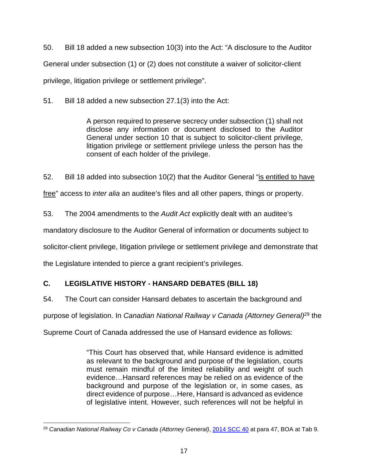50. Bill 18 added a new subsection 10(3) into the Act: "A disclosure to the Auditor General under subsection (1) or (2) does not constitute a waiver of solicitor-client privilege, litigation privilege or settlement privilege".

51. Bill 18 added a new subsection 27.1(3) into the Act:

A person required to preserve secrecy under subsection (1) shall not disclose any information or document disclosed to the Auditor General under section 10 that is subject to solicitor-client privilege, litigation privilege or settlement privilege unless the person has the consent of each holder of the privilege.

52. Bill 18 added into subsection 10(2) that the Auditor General "is entitled to have free" access to *inter alia* an auditee's files and all other papers, things or property.

53. The 2004 amendments to the *Audit Act* explicitly dealt with an auditee's

mandatory disclosure to the Auditor General of information or documents subject to

solicitor-client privilege, litigation privilege or settlement privilege and demonstrate that

the Legislature intended to pierce a grant recipient's privileges.

# **C. LEGISLATIVE HISTORY - HANSARD DEBATES (BILL 18)**

54. The Court can consider Hansard debates to ascertain the background and

purpose of legislation. In *Canadian National Railway v Canada (Attorney General)*<sup>29</sup> the

Supreme Court of Canada addressed the use of Hansard evidence as follows:

"This Court has observed that, while Hansard evidence is admitted as relevant to the background and purpose of the legislation, courts must remain mindful of the limited reliability and weight of such evidence…Hansard references may be relied on as evidence of the background and purpose of the legislation or, in some cases, as direct evidence of purpose…Here, Hansard is advanced as evidence of legislative intent. However, such references will not be helpful in

 <sup>29</sup> *Canadian National Railway Co v Canada (Attorney General)*, [2014 SCC 40](https://canlii.ca/t/g6z0w) at para 47, BOA at Tab 9.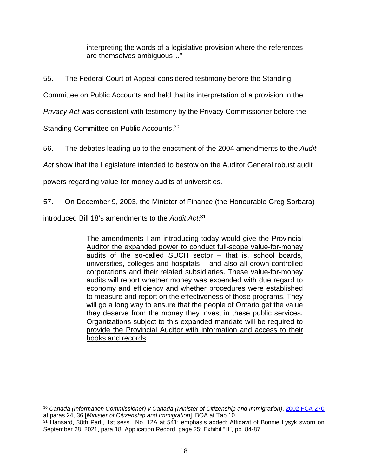interpreting the words of a legislative provision where the references are themselves ambiguous…"

55. The Federal Court of Appeal considered testimony before the Standing

Committee on Public Accounts and held that its interpretation of a provision in the

*Privacy Act* was consistent with testimony by the Privacy Commissioner before the

Standing Committee on Public Accounts.<sup>30</sup>

56. The debates leading up to the enactment of the 2004 amendments to the *Audit* 

*Act* show that the Legislature intended to bestow on the Auditor General robust audit

powers regarding value-for-money audits of universities.

57. On December 9, 2003, the Minister of Finance (the Honourable Greg Sorbara)

introduced Bill 18's amendments to the *Audit Act*: 31

The amendments I am introducing today would give the Provincial Auditor the expanded power to conduct full-scope value-for-money audits of the so-called SUCH sector – that is, school boards, universities, colleges and hospitals – and also all crown-controlled corporations and their related subsidiaries. These value-for-money audits will report whether money was expended with due regard to economy and efficiency and whether procedures were established to measure and report on the effectiveness of those programs. They will go a long way to ensure that the people of Ontario get the value they deserve from the money they invest in these public services. Organizations subject to this expanded mandate will be required to provide the Provincial Auditor with information and access to their books and records.

 $\overline{a}$ <sup>30</sup> *Canada (Information Commissioner) v Canada (Minister of Citizenship and Immigration)*, [2002 FCA 270](https://canlii.ca/t/4hxn) at paras 24, 36 [*Minister of Citizenship and Immigration*], BOA at Tab 10.

<sup>31</sup> Hansard, 38th Parl., 1st sess., No. 12A at 541; emphasis added; Affidavit of Bonnie Lysyk sworn on September 28, 2021, para 18, Application Record, page 25; Exhibit "H", pp. 84-87.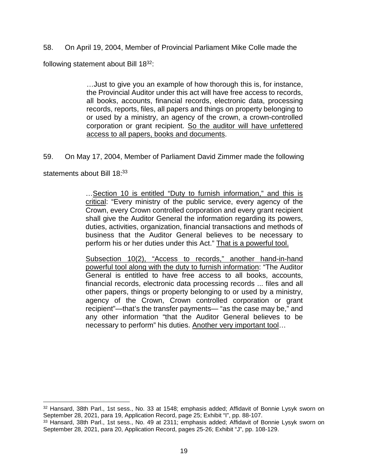58. On April 19, 2004, Member of Provincial Parliament Mike Colle made the

following statement about Bill 18<sup>32</sup>:

…Just to give you an example of how thorough this is, for instance, the Provincial Auditor under this act will have free access to records, all books, accounts, financial records, electronic data, processing records, reports, files, all papers and things on property belonging to or used by a ministry, an agency of the crown, a crown-controlled corporation or grant recipient. So the auditor will have unfettered access to all papers, books and documents.

59. On May 17, 2004, Member of Parliament David Zimmer made the following

statements about Bill 18:33

 $\overline{a}$ 

…Section 10 is entitled "Duty to furnish information," and this is critical: "Every ministry of the public service, every agency of the Crown, every Crown controlled corporation and every grant recipient shall give the Auditor General the information regarding its powers, duties, activities, organization, financial transactions and methods of business that the Auditor General believes to be necessary to perform his or her duties under this Act." That is a powerful tool.

Subsection 10(2), "Access to records," another hand-in-hand powerful tool along with the duty to furnish information: "The Auditor General is entitled to have free access to all books, accounts, financial records, electronic data processing records ... files and all other papers, things or property belonging to or used by a ministry, agency of the Crown, Crown controlled corporation or grant recipient"—that's the transfer payments— "as the case may be," and any other information "that the Auditor General believes to be necessary to perform" his duties. Another very important tool…

<sup>32</sup> Hansard, 38th Parl., 1st sess., No. 33 at 1548; emphasis added; Affidavit of Bonnie Lysyk sworn on September 28, 2021, para 19, Application Record, page 25; Exhibit "I", pp. 88-107.

<sup>33</sup> Hansard, 38th Parl., 1st sess., No. 49 at 2311; emphasis added; Affidavit of Bonnie Lysyk sworn on September 28, 2021, para 20, Application Record, pages 25-26; Exhibit "J", pp. 108-129.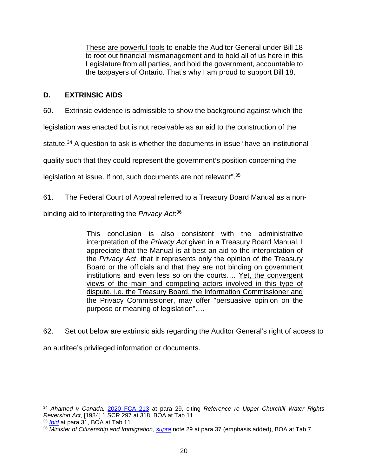These are powerful tools to enable the Auditor General under Bill 18 to root out financial mismanagement and to hold all of us here in this Legislature from all parties, and hold the government, accountable to the taxpayers of Ontario. That's why I am proud to support Bill 18.

## **D. EXTRINSIC AIDS**

60. Extrinsic evidence is admissible to show the background against which the

legislation was enacted but is not receivable as an aid to the construction of the

statute.<sup>34</sup> A question to ask is whether the documents in issue "have an institutional

quality such that they could represent the government's position concerning the

legislation at issue. If not, such documents are not relevant".<sup>35</sup>

#### 61. The Federal Court of Appeal referred to a Treasury Board Manual as a non-

binding aid to interpreting the *Privacy Act*: 36

This conclusion is also consistent with the administrative interpretation of the *Privacy Act* given in a Treasury Board Manual. I appreciate that the Manual is at best an aid to the interpretation of the *Privacy Act*, that it represents only the opinion of the Treasury Board or the officials and that they are not binding on government institutions and even less so on the courts…. Yet, the convergent views of the main and competing actors involved in this type of dispute, i.e. the Treasury Board, the Information Commissioner and the Privacy Commissioner, may offer "persuasive opinion on the purpose or meaning of legislation"….

62. Set out below are extrinsic aids regarding the Auditor General's right of access to

an auditee's privileged information or documents.

 $\overline{a}$ 

<sup>34</sup> *Ahamed v Canada,* [2020 FCA 213](https://canlii.ca/t/jc3bm) at para 29, citing *Reference re Upper Churchill Water Rights Reversion Act*, [1984] 1 SCR 297 at 318, BOA at Tab 11.

<sup>35</sup> *[Ibid](https://canlii.ca/t/jc3bm)* at para 31, BOA at Tab 11.

<sup>36</sup> *Minister of Citizenship and Immigration*, *[supra](https://canlii.ca/t/4hxn)* note 29 at para 37 (emphasis added), BOA at Tab 7.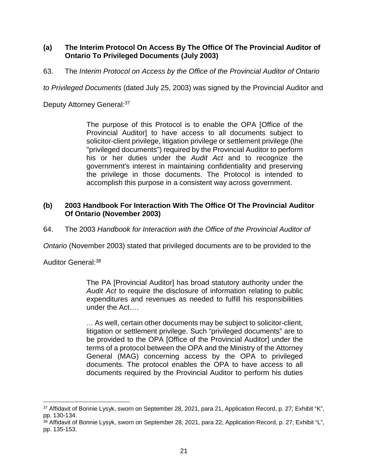#### **(a) The Interim Protocol On Access By The Office Of The Provincial Auditor of Ontario To Privileged Documents (July 2003)**

63. The *Interim Protocol on Access by the Office of the Provincial Auditor of Ontario* 

*to Privileged Documents* (dated July 25, 2003) was signed by the Provincial Auditor and

Deputy Attorney General: 37

The purpose of this Protocol is to enable the OPA [Office of the Provincial Auditor] to have access to all documents subject to solicitor-client privilege, litigation privilege or settlement privilege (the "privileged documents") required by the Provincial Auditor to perform his or her duties under the *Audit Act* and to recognize the government's interest in maintaining confidentiality and preserving the privilege in those documents. The Protocol is intended to accomplish this purpose in a consistent way across government.

#### **(b) 2003 Handbook For Interaction With The Office Of The Provincial Auditor Of Ontario (November 2003)**

64. The 2003 *Handbook for Interaction with the Office of the Provincial Auditor of* 

*Ontario* (November 2003) stated that privileged documents are to be provided to the

Auditor General:<sup>38</sup>

 $\overline{a}$ 

The PA [Provincial Auditor] has broad statutory authority under the *Audit Act* to require the disclosure of information relating to public expenditures and revenues as needed to fulfill his responsibilities under the Act….

… As well, certain other documents may be subject to solicitor-client, litigation or settlement privilege. Such "privileged documents" are to be provided to the OPA [Office of the Provincial Auditor] under the terms of a protocol between the OPA and the Ministry of the Attorney General (MAG) concerning access by the OPA to privileged documents. The protocol enables the OPA to have access to all documents required by the Provincial Auditor to perform his duties

<sup>37</sup> Affidavit of Bonnie Lysyk, sworn on September 28, 2021, para 21, Application Record, p. 27; Exhibit "K", pp. 130-134.

<sup>&</sup>lt;sup>38</sup> Affidavit of Bonnie Lysyk, sworn on September 28, 2021, para 22, Application Record, p. 27; Exhibit "L", pp. 135-153.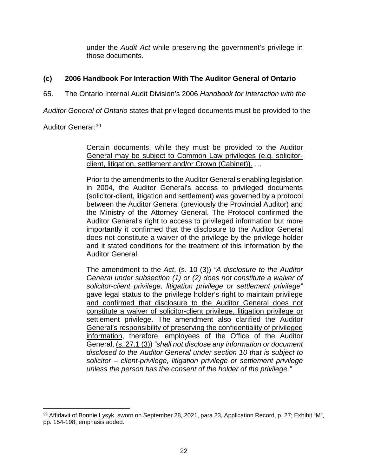under the *Audit Act* while preserving the government's privilege in those documents.

## **(c) 2006 Handbook For Interaction With The Auditor General of Ontario**

65. The Ontario Internal Audit Division's 2006 *Handbook for Interaction with the* 

*Auditor General of Ontario* states that privileged documents must be provided to the

Auditor General:<sup>39</sup>

Certain documents, while they must be provided to the Auditor General may be subject to Common Law privileges (e.g. solicitorclient, litigation, settlement and/or Crown (Cabinet)). …

Prior to the amendments to the Auditor General's enabling legislation in 2004, the Auditor General's access to privileged documents (solicitor-client, litigation and settlement) was governed by a protocol between the Auditor General (previously the Provincial Auditor) and the Ministry of the Attorney General. The Protocol confirmed the Auditor General's right to access to privileged information but more importantly it confirmed that the disclosure to the Auditor General does not constitute a waiver of the privilege by the privilege holder and it stated conditions for the treatment of this information by the Auditor General.

The amendment to the *Act*, (s. 10 (3)) *"A disclosure to the Auditor General under subsection (1) or (2) does not constitute a waiver of solicitor-client privilege, litigation privilege or settlement privilege"* gave legal status to the privilege holder's right to maintain privilege and confirmed that disclosure to the Auditor General does not constitute a waiver of solicitor-client privilege, litigation privilege or settlement privilege. The amendment also clarified the Auditor General's responsibility of preserving the confidentiality of privileged information, therefore, employees of the Office of the Auditor General, (s. 27.1 (3)) *"shall not disclose any information or document disclosed to the Auditor General under section 10 that is subject to solicitor – client-privilege, litigation privilege or settlement privilege unless the person has the consent of the holder of the privilege."*

<sup>39</sup> Affidavit of Bonnie Lysyk, sworn on September 28, 2021, para 23, Application Record, p. 27; Exhibit "M", pp. 154-198; emphasis added.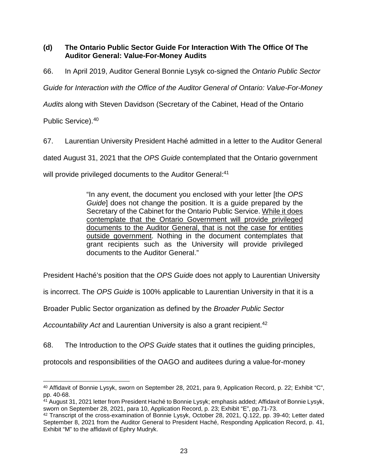### **(d) The Ontario Public Sector Guide For Interaction With The Office Of The Auditor General: Value-For-Money Audits**

66. In April 2019, Auditor General Bonnie Lysyk co-signed the *Ontario Public Sector* 

*Guide for Interaction with the Office of the Auditor General of Ontario: Value-For-Money* 

*Audits* along with Steven Davidson (Secretary of the Cabinet, Head of the Ontario

Public Service).<sup>40</sup>

67. Laurentian University President Haché admitted in a letter to the Auditor General

dated August 31, 2021 that the *OPS Guide* contemplated that the Ontario government

will provide privileged documents to the Auditor General:<sup>41</sup>

"In any event, the document you enclosed with your letter [the *OPS Guide*] does not change the position. It is a guide prepared by the Secretary of the Cabinet for the Ontario Public Service. While it does contemplate that the Ontario Government will provide privileged documents to the Auditor General, that is not the case for entities outside government. Nothing in the document contemplates that grant recipients such as the University will provide privileged documents to the Auditor General."

President Haché's position that the *OPS Guide* does not apply to Laurentian University

is incorrect. The *OPS Guide* is 100% applicable to Laurentian University in that it is a

Broader Public Sector organization as defined by the *Broader Public Sector* 

*Accountability Act* and Laurentian University is also a grant recipient.<sup>42</sup>

68. The Introduction to the *OPS Guide* states that it outlines the guiding principles,

protocols and responsibilities of the OAGO and auditees during a value-for-money

 <sup>40</sup> Affidavit of Bonnie Lysyk, sworn on September 28, 2021, para 9, Application Record, p. 22; Exhibit "C", pp. 40-68.

<sup>41</sup> August 31, 2021 letter from President Haché to Bonnie Lysyk; emphasis added; Affidavit of Bonnie Lysyk, sworn on September 28, 2021, para 10, Application Record, p. 23; Exhibit "E", pp.71-73.

<sup>42</sup> Transcript of the cross-examination of Bonnie Lysyk, October 28, 2021, Q.122, pp. 39-40; Letter dated September 8, 2021 from the Auditor General to President Haché, Responding Application Record, p. 41, Exhibit "M" to the affidavit of Ephry Mudryk.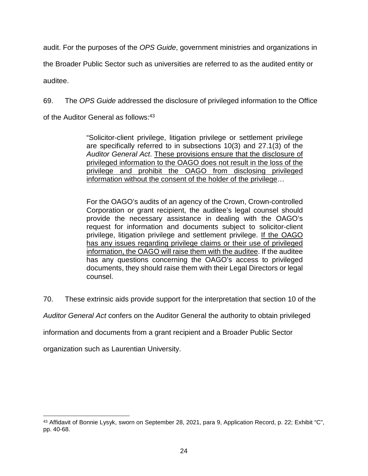audit. For the purposes of the *OPS Guide*, government ministries and organizations in

the Broader Public Sector such as universities are referred to as the audited entity or

auditee.

69. The *OPS Guide* addressed the disclosure of privileged information to the Office

of the Auditor General as follows: 43

"Solicitor-client privilege, litigation privilege or settlement privilege are specifically referred to in subsections 10(3) and 27.1(3) of the *Auditor General Act*. These provisions ensure that the disclosure of privileged information to the OAGO does not result in the loss of the privilege and prohibit the OAGO from disclosing privileged information without the consent of the holder of the privilege…

For the OAGO's audits of an agency of the Crown, Crown-controlled Corporation or grant recipient, the auditee's legal counsel should provide the necessary assistance in dealing with the OAGO's request for information and documents subject to solicitor-client privilege, litigation privilege and settlement privilege. If the OAGO has any issues regarding privilege claims or their use of privileged information, the OAGO will raise them with the auditee. If the auditee has any questions concerning the OAGO's access to privileged documents, they should raise them with their Legal Directors or legal counsel.

70. These extrinsic aids provide support for the interpretation that section 10 of the

*Auditor General Act* confers on the Auditor General the authority to obtain privileged

information and documents from a grant recipient and a Broader Public Sector

organization such as Laurentian University.

<sup>43</sup> Affidavit of Bonnie Lysyk, sworn on September 28, 2021, para 9, Application Record, p. 22; Exhibit "C", pp. 40-68.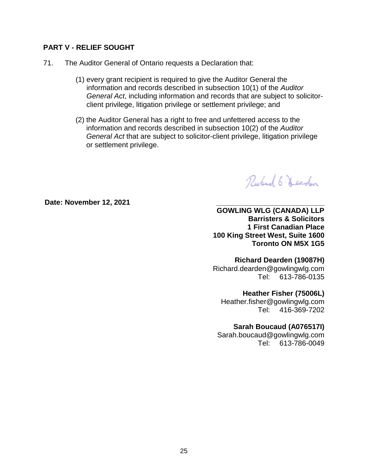#### **PART V - RELIEF SOUGHT**

- 71. The Auditor General of Ontario requests a Declaration that:
	- (1) every grant recipient is required to give the Auditor General the information and records described in subsection 10(1) of the *Auditor General Act*, including information and records that are subject to solicitorclient privilege, litigation privilege or settlement privilege; and
	- (2) the Auditor General has a right to free and unfettered access to the information and records described in subsection 10(2) of the *Auditor General Act* that are subject to solicitor-client privilege, litigation privilege or settlement privilege.

Rubert 6- Learden

Date: November 12, 2021

**GOWLING WLG (CANADA) LLP Barristers & Solicitors 1 First Canadian Place 100 King Street West, Suite 1600 Toronto ON M5X 1G5**

**Richard Dearden (19087H)**  Richard.dearden@gowlingwlg.com Tel: 613-786-0135

**Heather Fisher (75006L)** 

Heather.fisher@gowlingwlg.com Tel: 416-369-7202

**Sarah Boucaud (A076517I)** 

Sarah.boucaud@gowlingwlg.com Tel: 613-786-0049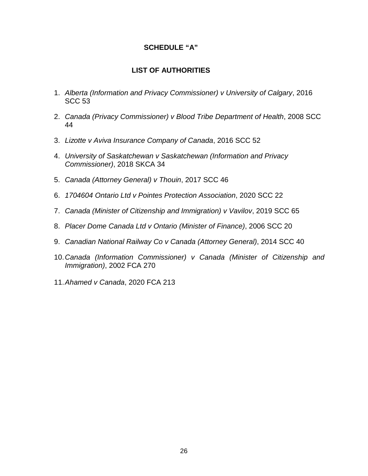#### **SCHEDULE "A"**

## **LIST OF AUTHORITIES**

- 1. *Alberta (Information and Privacy Commissioner) v University of Calgary*, 2016 SCC 53
- 2. *Canada (Privacy Commissioner) v Blood Tribe Department of Health*, 2008 SCC 44
- 3. *Lizotte v Aviva Insurance Company of Canada*, 2016 SCC 52
- 4. *University of Saskatchewan v Saskatchewan (Information and Privacy Commissioner)*, 2018 SKCA 34
- 5. *Canada (Attorney General) v Thouin*, 2017 SCC 46
- 6. *1704604 Ontario Ltd v Pointes Protection Association*, 2020 SCC 22
- 7. *Canada (Minister of Citizenship and Immigration) v Vavilov*, 2019 SCC 65
- 8. *Placer Dome Canada Ltd v Ontario (Minister of Finance)*, 2006 SCC 20
- 9. *Canadian National Railway Co v Canada (Attorney General)*, 2014 SCC 40
- 10. *Canada (Information Commissioner) v Canada (Minister of Citizenship and Immigration)*, 2002 FCA 270
- 11. *Ahamed v Canada*, 2020 FCA 213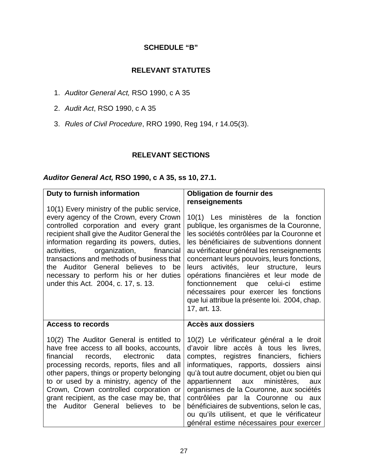## **SCHEDULE "B"**

## **RELEVANT STATUTES**

- 1. *Auditor General Act,* RSO 1990, c A 35
- 2. *Audit Act*, RSO 1990, c A 35
- 3. *Rules of Civil Procedure*, RRO 1990, Reg 194, r 14.05(3).

#### **RELEVANT SECTIONS**

### *Auditor General Act,* **RSO 1990, c A 35, ss 10, 27.1.**

| Duty to furnish information                                                                                                                                                                                                                                                                                                                                                                             | <b>Obligation de fournir des</b>                                                                                                                                                                                                                                                                                                                                                                                                                                                                               |
|---------------------------------------------------------------------------------------------------------------------------------------------------------------------------------------------------------------------------------------------------------------------------------------------------------------------------------------------------------------------------------------------------------|----------------------------------------------------------------------------------------------------------------------------------------------------------------------------------------------------------------------------------------------------------------------------------------------------------------------------------------------------------------------------------------------------------------------------------------------------------------------------------------------------------------|
| 10(1) Every ministry of the public service,                                                                                                                                                                                                                                                                                                                                                             | renseignements                                                                                                                                                                                                                                                                                                                                                                                                                                                                                                 |
| every agency of the Crown, every Crown<br>controlled corporation and every grant<br>recipient shall give the Auditor General the<br>information regarding its powers, duties,<br>organization,<br>financial<br>activities,<br>transactions and methods of business that<br>the Auditor General believes<br>to<br>be<br>necessary to perform his or her duties<br>under this Act. 2004, c. 17, s. 13.    | 10(1) Les ministères de la fonction<br>publique, les organismes de la Couronne,<br>les sociétés contrôlées par la Couronne et<br>les bénéficiaires de subventions donnent<br>au vérificateur général les renseignements<br>concernant leurs pouvoirs, leurs fonctions,<br>activités, leur structure, leurs<br>leurs<br>opérations financières et leur mode de<br>fonctionnement que celui-ci estime<br>nécessaires pour exercer les fonctions<br>que lui attribue la présente loi. 2004, chap.<br>17, art. 13. |
| Access to records                                                                                                                                                                                                                                                                                                                                                                                       | Accès aux dossiers                                                                                                                                                                                                                                                                                                                                                                                                                                                                                             |
| 10(2) The Auditor General is entitled to<br>have free access to all books, accounts,<br>financial<br>records,<br>electronic<br>data<br>processing records, reports, files and all<br>other papers, things or property belonging<br>to or used by a ministry, agency of the<br>Crown, Crown controlled corporation or<br>grant recipient, as the case may be, that<br>the Auditor General believes to be | 10(2) Le vérificateur général a le droit<br>d'avoir libre accès à tous les livres,<br>comptes, registres financiers, fichiers<br>informatiques, rapports, dossiers ainsi<br>qu'à tout autre document, objet ou bien qui<br>ministères,<br>appartiennent<br>aux<br>aux<br>organismes de la Couronne, aux sociétés<br>contrôlées par la Couronne ou aux<br>bénéficiaires de subventions, selon le cas,<br>ou qu'ils utilisent, et que le vérificateur<br>général estime nécessaires pour exercer                 |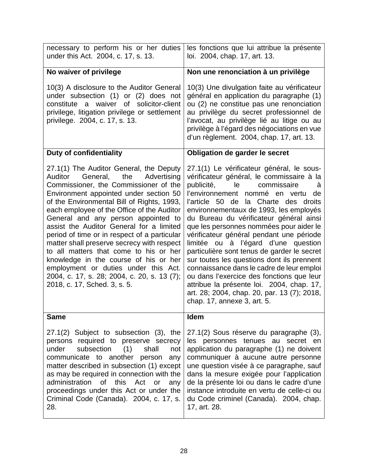| necessary to perform his or her duties<br>under this Act. 2004, c. 17, s. 13.                                                                                                                                                                                                                                                                                                                                                                                                                                                                                                                                                                                  | les fonctions que lui attribue la présente<br>loi. 2004, chap. 17, art. 13.                                                                                                                                                                                                                                                                                                                                                                                                                                                                                                                                                                                                                                                                |
|----------------------------------------------------------------------------------------------------------------------------------------------------------------------------------------------------------------------------------------------------------------------------------------------------------------------------------------------------------------------------------------------------------------------------------------------------------------------------------------------------------------------------------------------------------------------------------------------------------------------------------------------------------------|--------------------------------------------------------------------------------------------------------------------------------------------------------------------------------------------------------------------------------------------------------------------------------------------------------------------------------------------------------------------------------------------------------------------------------------------------------------------------------------------------------------------------------------------------------------------------------------------------------------------------------------------------------------------------------------------------------------------------------------------|
| No waiver of privilege                                                                                                                                                                                                                                                                                                                                                                                                                                                                                                                                                                                                                                         | Non une renonciation à un privilège                                                                                                                                                                                                                                                                                                                                                                                                                                                                                                                                                                                                                                                                                                        |
| 10(3) A disclosure to the Auditor General<br>under subsection (1) or (2) does not<br>constitute a waiver of solicitor-client<br>privilege, litigation privilege or settlement<br>privilege. 2004, c. 17, s. 13.                                                                                                                                                                                                                                                                                                                                                                                                                                                | 10(3) Une divulgation faite au vérificateur<br>général en application du paragraphe (1)<br>ou (2) ne constitue pas une renonciation<br>au privilège du secret professionnel de<br>l'avocat, au privilège lié au litige ou au<br>privilège à l'égard des négociations en vue<br>d'un règlement. 2004, chap. 17, art. 13.                                                                                                                                                                                                                                                                                                                                                                                                                    |
| <b>Duty of confidentiality</b>                                                                                                                                                                                                                                                                                                                                                                                                                                                                                                                                                                                                                                 | Obligation de garder le secret                                                                                                                                                                                                                                                                                                                                                                                                                                                                                                                                                                                                                                                                                                             |
| 27.1(1) The Auditor General, the Deputy<br>General,<br>the<br>Advertising<br>Auditor<br>Commissioner, the Commissioner of the<br>Environment appointed under section 50<br>of the Environmental Bill of Rights, 1993,<br>each employee of the Office of the Auditor<br>General and any person appointed to<br>assist the Auditor General for a limited<br>period of time or in respect of a particular<br>matter shall preserve secrecy with respect<br>to all matters that come to his or her<br>knowledge in the course of his or her<br>employment or duties under this Act.<br>2004, c. 17, s. 28; 2004, c. 20, s. 13 (7);<br>2018, c. 17, Sched. 3, s. 5. | 27.1(1) Le vérificateur général, le sous-<br>vérificateur général, le commissaire à la<br>publicité, le commissaire<br>à<br>l'environnement nommé en vertu de<br>l'article 50 de la Charte des droits<br>environnementaux de 1993, les employés<br>du Bureau du vérificateur général ainsi<br>que les personnes nommées pour aider le<br>vérificateur général pendant une période<br>limitée ou à l'égard d'une question<br>particulière sont tenus de garder le secret<br>sur toutes les questions dont ils prennent<br>connaissance dans le cadre de leur emploi<br>ou dans l'exercice des fonctions que leur<br>attribue la présente loi. 2004, chap. 17,<br>art. 28; 2004, chap. 20, par. 13 (7); 2018,<br>chap. 17, annexe 3, art. 5. |
| <b>Same</b>                                                                                                                                                                                                                                                                                                                                                                                                                                                                                                                                                                                                                                                    | Idem                                                                                                                                                                                                                                                                                                                                                                                                                                                                                                                                                                                                                                                                                                                                       |
| 27.1(2) Subject to subsection (3), the<br>persons required to preserve secrecy<br>subsection<br>(1)<br>under<br>shall<br>not<br>communicate to another<br>person<br>any<br>matter described in subsection (1) except<br>as may be required in connection with the<br>administration<br>this<br>Act<br>0f<br>or<br>any<br>proceedings under this Act or under the<br>Criminal Code (Canada). 2004, c. 17, s.<br>28.                                                                                                                                                                                                                                             | 27.1(2) Sous réserve du paragraphe (3),<br>les personnes tenues au secret<br>en<br>application du paragraphe (1) ne doivent<br>communiquer à aucune autre personne<br>une question visée à ce paragraphe, sauf<br>dans la mesure exigée pour l'application<br>de la présente loi ou dans le cadre d'une<br>instance introduite en vertu de celle-ci ou<br>du Code criminel (Canada). 2004, chap.<br>17, art. 28.                                                                                                                                                                                                                                                                                                                           |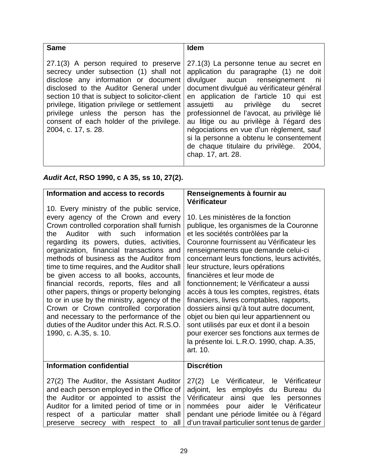| <b>Same</b>                                                                                                                                                                                                                                                                                                                                                                    | <b>Idem</b>                                                                                                                                                                                                                                                                                                                                                                                                                                                                                      |
|--------------------------------------------------------------------------------------------------------------------------------------------------------------------------------------------------------------------------------------------------------------------------------------------------------------------------------------------------------------------------------|--------------------------------------------------------------------------------------------------------------------------------------------------------------------------------------------------------------------------------------------------------------------------------------------------------------------------------------------------------------------------------------------------------------------------------------------------------------------------------------------------|
| 27.1(3) A person required to preserve<br>secrecy under subsection (1) shall not<br>disclose any information or document<br>disclosed to the Auditor General under<br>section 10 that is subject to solicitor-client<br>privilege, litigation privilege or settlement<br>privilege unless the person has the<br>consent of each holder of the privilege.<br>2004, c. 17, s. 28. | 27.1(3) La personne tenue au secret en<br>application du paragraphe (1) ne doit<br>divulguer aucun renseignement ni<br>document divulgué au vérificateur général<br>en application de l'article 10 qui est<br>assujetti au privilège du secret<br>professionnel de l'avocat, au privilège lié<br>au litige ou au privilège à l'égard des<br>négociations en vue d'un règlement, sauf<br>si la personne a obtenu le consentement<br>de chaque titulaire du privilège. 2004,<br>chap. 17, art. 28. |

# *Audit Act***, RSO 1990, c A 35, ss 10, 27(2).**

| Information and access to records                                                                                                                                                                                                                                                                                                                                                                                                                                                                                                                                                                                                                                                                                     | Renseignements à fournir au<br>Vérificateur                                                                                                                                                                                                                                                                                                                                                                                                                                                                                                                                                                                                                                                           |
|-----------------------------------------------------------------------------------------------------------------------------------------------------------------------------------------------------------------------------------------------------------------------------------------------------------------------------------------------------------------------------------------------------------------------------------------------------------------------------------------------------------------------------------------------------------------------------------------------------------------------------------------------------------------------------------------------------------------------|-------------------------------------------------------------------------------------------------------------------------------------------------------------------------------------------------------------------------------------------------------------------------------------------------------------------------------------------------------------------------------------------------------------------------------------------------------------------------------------------------------------------------------------------------------------------------------------------------------------------------------------------------------------------------------------------------------|
| 10. Every ministry of the public service,<br>every agency of the Crown and every<br>Crown controlled corporation shall furnish<br>Auditor<br>with<br>such<br>information<br>the<br>regarding its powers, duties, activities,<br>organization, financial transactions and<br>methods of business as the Auditor from<br>time to time requires, and the Auditor shall<br>be given access to all books, accounts,<br>financial records, reports, files and all<br>other papers, things or property belonging<br>to or in use by the ministry, agency of the<br>Crown or Crown controlled corporation<br>and necessary to the performance of the<br>duties of the Auditor under this Act. R.S.O.<br>1990, c. A.35, s. 10. | 10. Les ministères de la fonction<br>publique, les organismes de la Couronne<br>et les sociétés contrôlées par la<br>Couronne fournissent au Vérificateur les<br>renseignements que demande celui-ci<br>concernant leurs fonctions, leurs activités,<br>leur structure, leurs opérations<br>financières et leur mode de<br>fonctionnement; le Vérificateur a aussi<br>accès à tous les comptes, registres, états<br>financiers, livres comptables, rapports,<br>dossiers ainsi qu'à tout autre document,<br>objet ou bien qui leur appartiennent ou<br>sont utilisés par eux et dont il a besoin<br>pour exercer ses fonctions aux termes de<br>la présente loi. L.R.O. 1990, chap. A.35,<br>art. 10. |
| <b>Information confidential</b>                                                                                                                                                                                                                                                                                                                                                                                                                                                                                                                                                                                                                                                                                       | <b>Discrétion</b>                                                                                                                                                                                                                                                                                                                                                                                                                                                                                                                                                                                                                                                                                     |
| 27(2) The Auditor, the Assistant Auditor<br>and each person employed in the Office of<br>the Auditor or appointed to assist the<br>Auditor for a limited period of time or in<br>of a particular matter<br>respect<br>shall<br>preserve secrecy with respect to all                                                                                                                                                                                                                                                                                                                                                                                                                                                   | 27(2) Le Vérificateur, le Vérificateur<br>adjoint, les employés<br>du<br>Bureau du<br>ainsi que<br>Vérificateur<br>les personnes<br>pour aider<br>le Vérificateur<br>nommées<br>pendant une période limitée ou à l'égard<br>d'un travail particulier sont tenus de garder                                                                                                                                                                                                                                                                                                                                                                                                                             |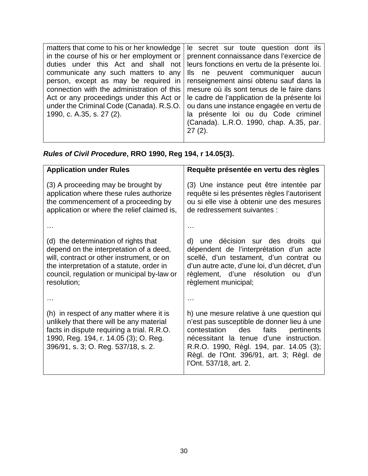|                                                                                  | matters that come to his or her knowledge   le secret sur toute question dont ils |
|----------------------------------------------------------------------------------|-----------------------------------------------------------------------------------|
| in the course of his or her employment or $\vert$                                | prennent connaissance dans l'exercice de                                          |
| duties under this Act and shall not leurs fonctions en vertu de la présente loi. |                                                                                   |
| communicate any such matters to any                                              | Ils ne peuvent communiquer aucun                                                  |
| person, except as may be required in                                             | renseignement ainsi obtenu sauf dans la                                           |
| connection with the administration of this                                       | mesure où ils sont tenus de le faire dans                                         |
| Act or any proceedings under this Act or                                         | le cadre de l'application de la présente loi                                      |
| under the Criminal Code (Canada). R.S.O.                                         | ou dans une instance engagée en vertu de                                          |
| 1990, c. A.35, s. 27 (2).                                                        | la présente loi ou du Code criminel                                               |
|                                                                                  | (Canada). L.R.O. 1990, chap. A.35, par.                                           |
|                                                                                  | 27 (2).                                                                           |
|                                                                                  |                                                                                   |

*Rules of Civil Procedure***, RRO 1990, Reg 194, r 14.05(3).** 

| <b>Application under Rules</b>                                                                                                                                                                                                         | Requête présentée en vertu des règles                                                                                                                                                                                                                                                          |
|----------------------------------------------------------------------------------------------------------------------------------------------------------------------------------------------------------------------------------------|------------------------------------------------------------------------------------------------------------------------------------------------------------------------------------------------------------------------------------------------------------------------------------------------|
| (3) A proceeding may be brought by<br>application where these rules authorize<br>the commencement of a proceeding by<br>application or where the relief claimed is,                                                                    | (3) Une instance peut être intentée par<br>requête si les présentes règles l'autorisent<br>ou si elle vise à obtenir une des mesures<br>de redressement suivantes :                                                                                                                            |
|                                                                                                                                                                                                                                        |                                                                                                                                                                                                                                                                                                |
| (d) the determination of rights that<br>depend on the interpretation of a deed,<br>will, contract or other instrument, or on<br>the interpretation of a statute, order in<br>council, regulation or municipal by-law or<br>resolution; | d) une décision sur des droits qui<br>dépendent de l'interprétation d'un acte<br>scellé, d'un testament, d'un contrat ou<br>d'un autre acte, d'une loi, d'un décret, d'un<br>règlement, d'une résolution ou d'un<br>règlement municipal;                                                       |
|                                                                                                                                                                                                                                        |                                                                                                                                                                                                                                                                                                |
| (h) in respect of any matter where it is<br>unlikely that there will be any material<br>facts in dispute requiring a trial. R.R.O.<br>1990, Reg. 194, r. 14.05 (3); O. Reg.<br>396/91, s. 3; O. Reg. 537/18, s. 2.                     | h) une mesure relative à une question qui<br>n'est pas susceptible de donner lieu à une<br>contestation<br>des faits<br>pertinents<br>nécessitant la tenue d'une instruction.<br>R.R.O. 1990, Règl. 194, par. 14.05 (3);<br>Règl. de l'Ont. 396/91, art. 3; Règl. de<br>l'Ont. 537/18, art. 2. |